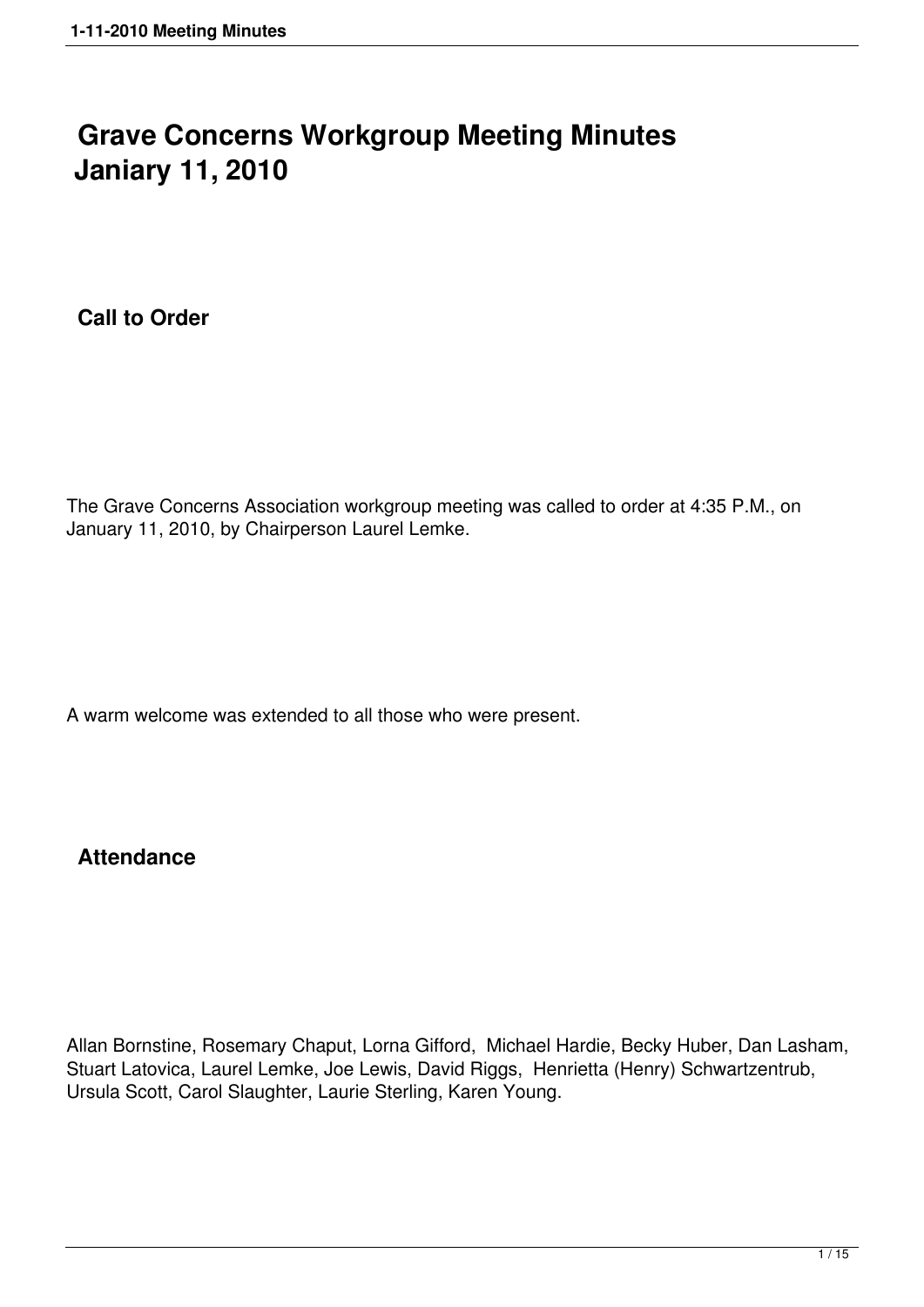# **Grave Concerns Workgroup Meeting Minutes Janiary 11, 2010**

**Call to Order**

The Grave Concerns Association workgroup meeting was called to order at 4:35 P.M., on January 11, 2010, by Chairperson Laurel Lemke.

A warm welcome was extended to all those who were present.

# **Attendance**

Allan Bornstine, Rosemary Chaput, Lorna Gifford, Michael Hardie, Becky Huber, Dan Lasham, Stuart Latovica, Laurel Lemke, Joe Lewis, David Riggs, Henrietta (Henry) Schwartzentrub, Ursula Scott, Carol Slaughter, Laurie Sterling, Karen Young.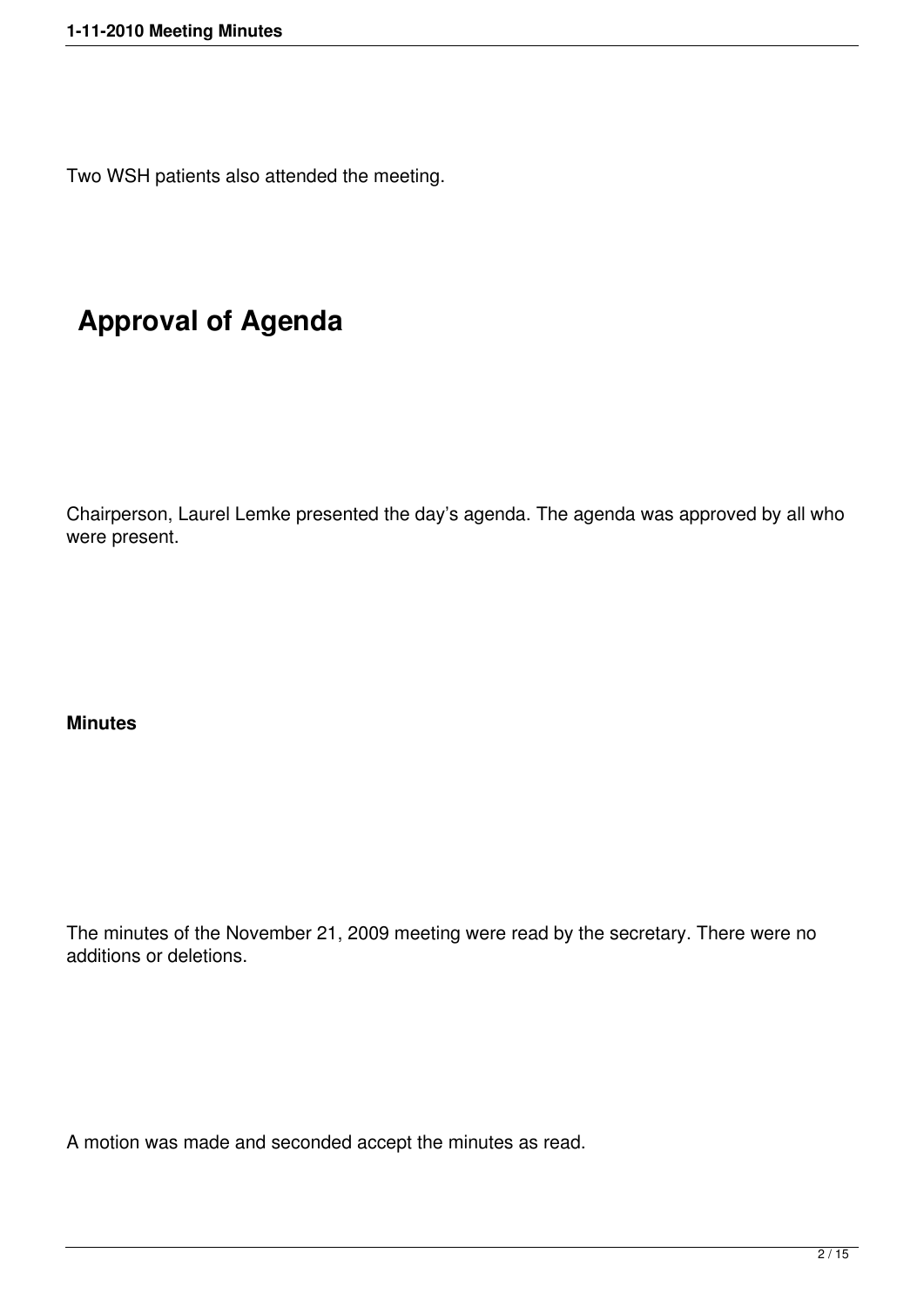Two WSH patients also attended the meeting.

# **Approval of Agenda**

Chairperson, Laurel Lemke presented the day's agenda. The agenda was approved by all who were present.

#### **Minutes**

The minutes of the November 21, 2009 meeting were read by the secretary. There were no additions or deletions.

A motion was made and seconded accept the minutes as read.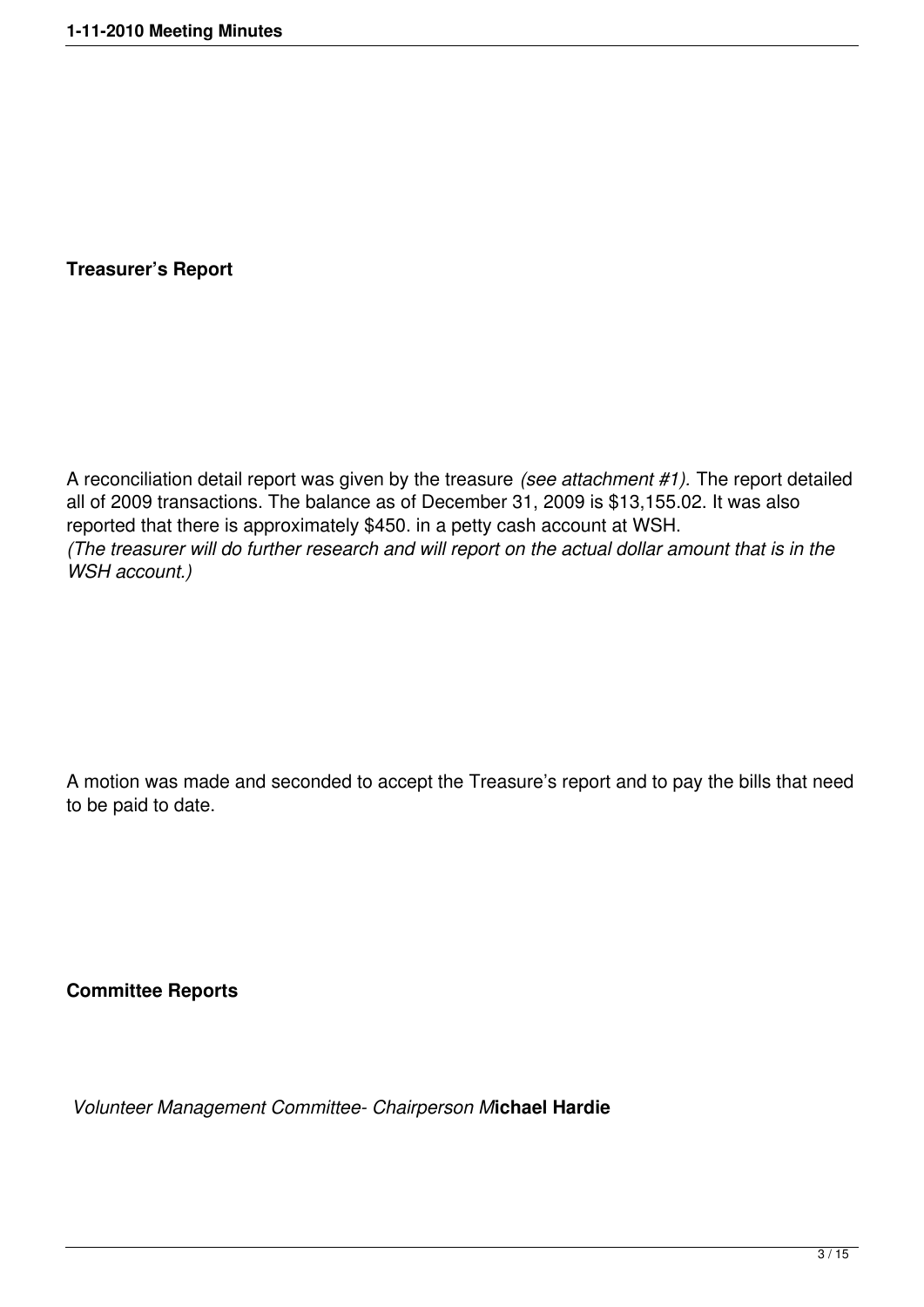**Treasurer's Report**

A reconciliation detail report was given by the treasure *(see attachment #1).* The report detailed all of 2009 transactions. The balance as of December 31, 2009 is \$13,155.02. It was also reported that there is approximately \$450. in a petty cash account at WSH. *(The treasurer will do further research and will report on the actual dollar amount that is in the WSH account.)*

A motion was made and seconded to accept the Treasure's report and to pay the bills that need to be paid to date.

**Committee Reports** 

 *Volunteer Management Committee- Chairperson M***ichael Hardie**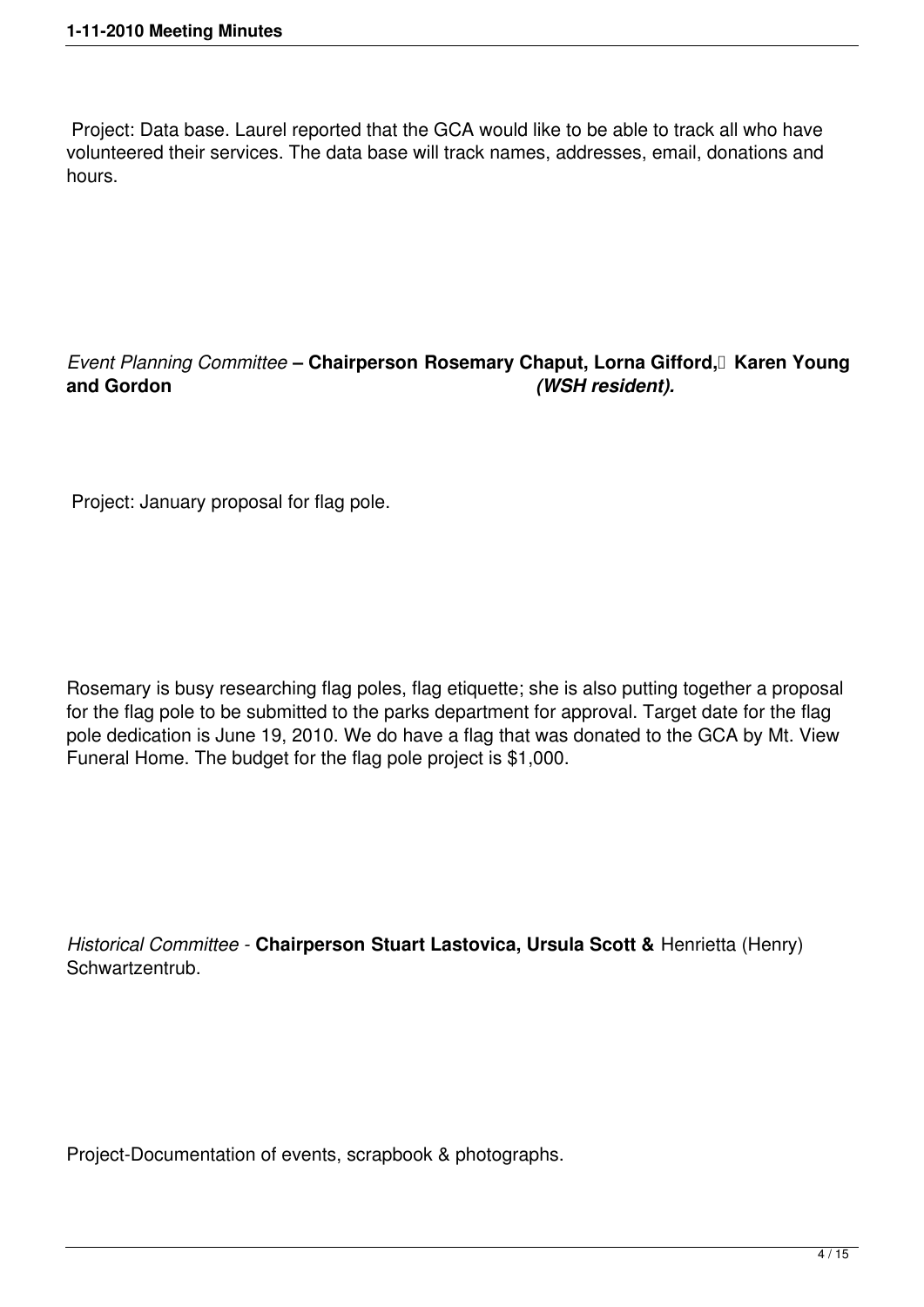Project: Data base. Laurel reported that the GCA would like to be able to track all who have volunteered their services. The data base will track names, addresses, email, donations and hours.

# *Event Planning Committee* – Chairperson Rosemary Chaput, Lorna Gifford, Karen Young and Gordon **and Gordon** *(WSH resident).*

Project: January proposal for flag pole.

Rosemary is busy researching flag poles, flag etiquette; she is also putting together a proposal for the flag pole to be submitted to the parks department for approval. Target date for the flag pole dedication is June 19, 2010. We do have a flag that was donated to the GCA by Mt. View Funeral Home. The budget for the flag pole project is \$1,000.

*Historical Committee -* **Chairperson Stuart Lastovica, Ursula Scott &** Henrietta (Henry) Schwartzentrub.

Project-Documentation of events, scrapbook & photographs.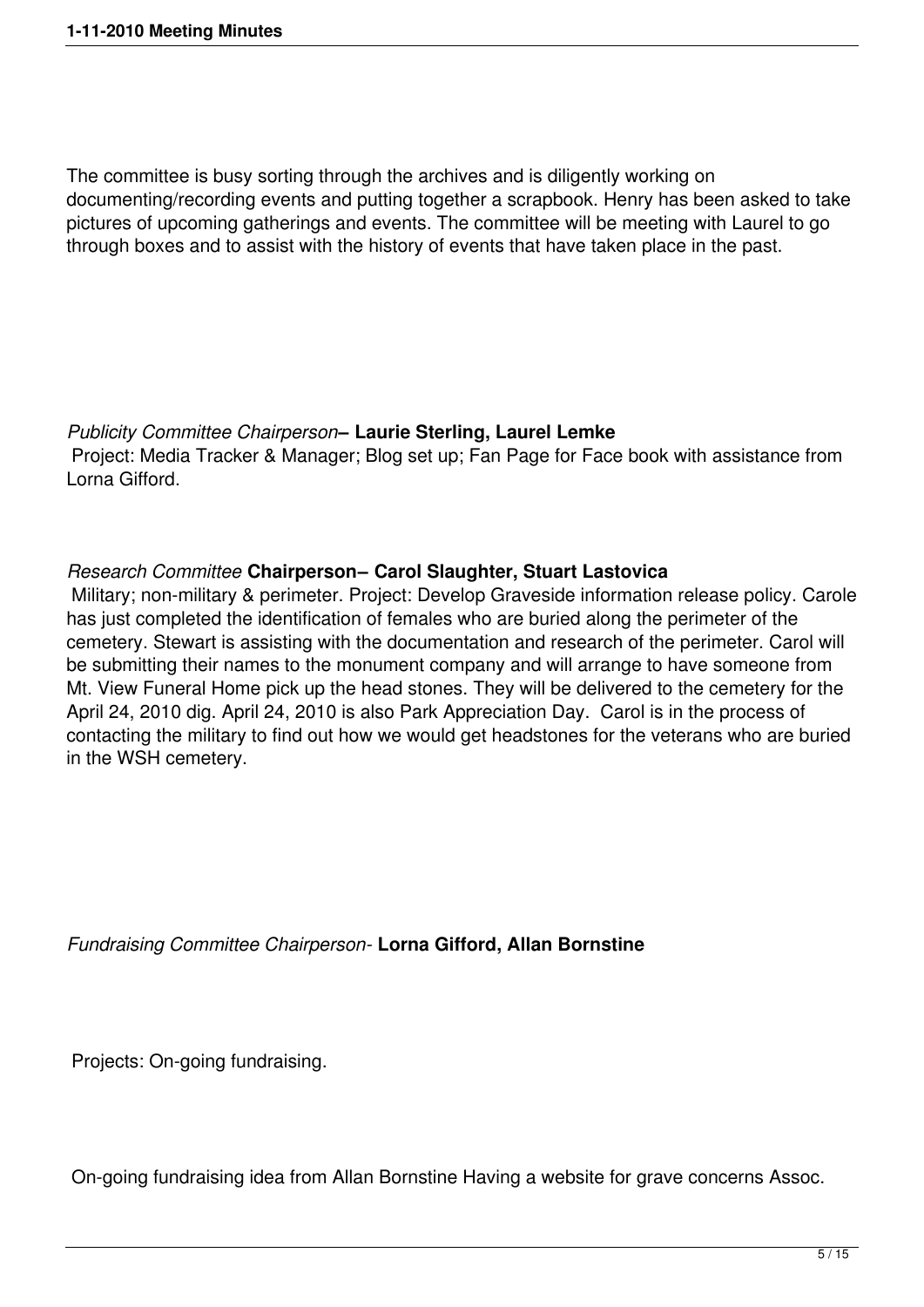The committee is busy sorting through the archives and is diligently working on documenting/recording events and putting together a scrapbook. Henry has been asked to take pictures of upcoming gatherings and events. The committee will be meeting with Laurel to go through boxes and to assist with the history of events that have taken place in the past.

#### *Publicity Committee Chairperson***– Laurie Sterling, Laurel Lemke**

 Project: Media Tracker & Manager; Blog set up; Fan Page for Face book with assistance from Lorna Gifford.

# *Research Committee* **Chairperson– Carol Slaughter, Stuart Lastovica**

 Military; non-military & perimeter. Project: Develop Graveside information release policy. Carole has just completed the identification of females who are buried along the perimeter of the cemetery. Stewart is assisting with the documentation and research of the perimeter. Carol will be submitting their names to the monument company and will arrange to have someone from Mt. View Funeral Home pick up the head stones. They will be delivered to the cemetery for the April 24, 2010 dig. April 24, 2010 is also Park Appreciation Day. Carol is in the process of contacting the military to find out how we would get headstones for the veterans who are buried in the WSH cemetery.

*Fundraising Committee Chairperson-* **Lorna Gifford, Allan Bornstine**

Projects: On-going fundraising.

On-going fundraising idea from Allan Bornstine Having a website for grave concerns Assoc.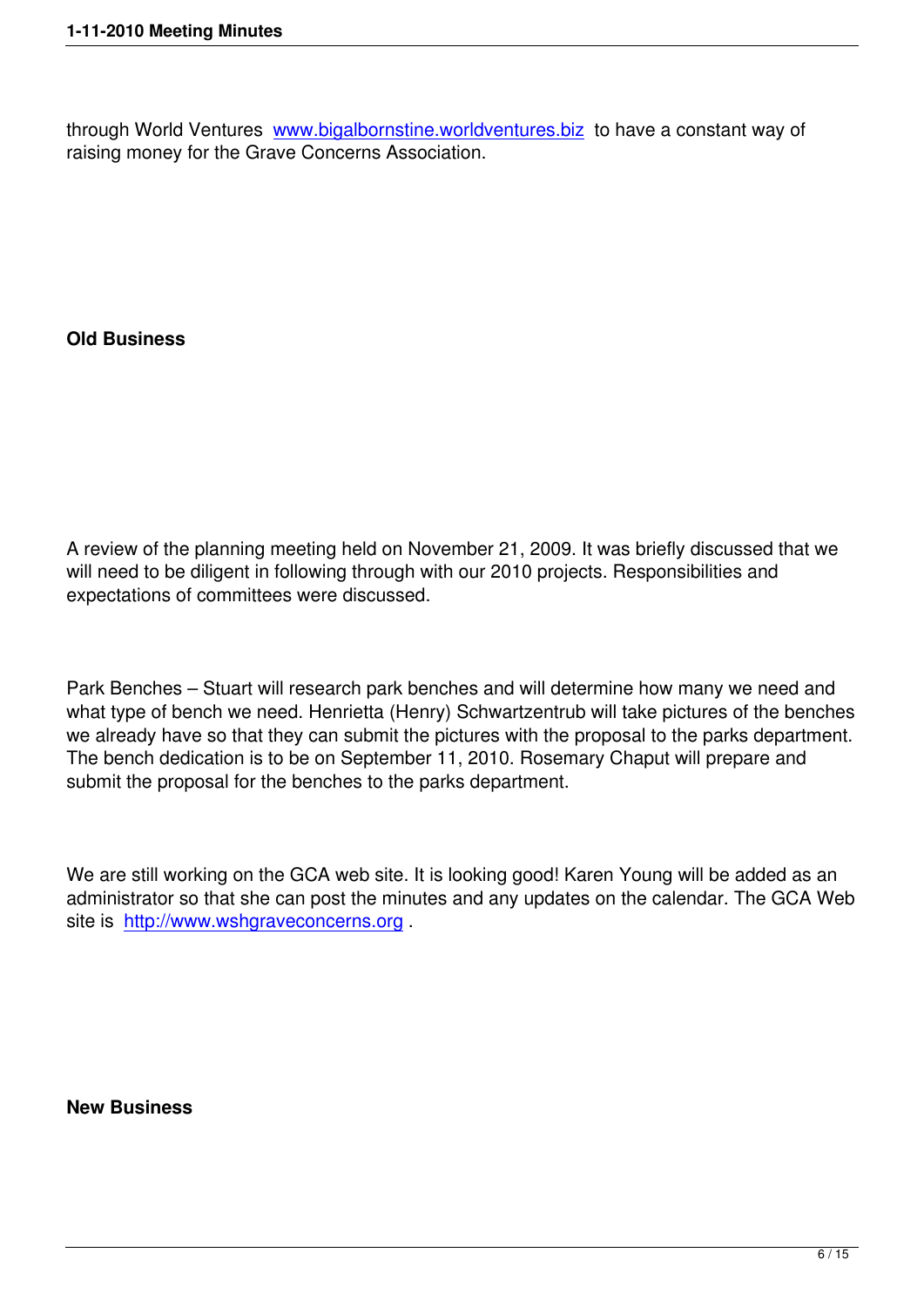through World Ventures www.bigalbornstine.worldventures.biz to have a constant way of raising money for the Grave Concerns Association.

# **Old Business**

A review of the planning meeting held on November 21, 2009. It was briefly discussed that we will need to be diligent in following through with our 2010 projects. Responsibilities and expectations of committees were discussed.

Park Benches – Stuart will research park benches and will determine how many we need and what type of bench we need. Henrietta (Henry) Schwartzentrub will take pictures of the benches we already have so that they can submit the pictures with the proposal to the parks department. The bench dedication is to be on September 11, 2010. Rosemary Chaput will prepare and submit the proposal for the benches to the parks department.

We are still working on the GCA web site. It is looking good! Karen Young will be added as an administrator so that she can post the minutes and any updates on the calendar. The GCA Web site is http://www.wshgraveconcerns.org .

#### **New Business**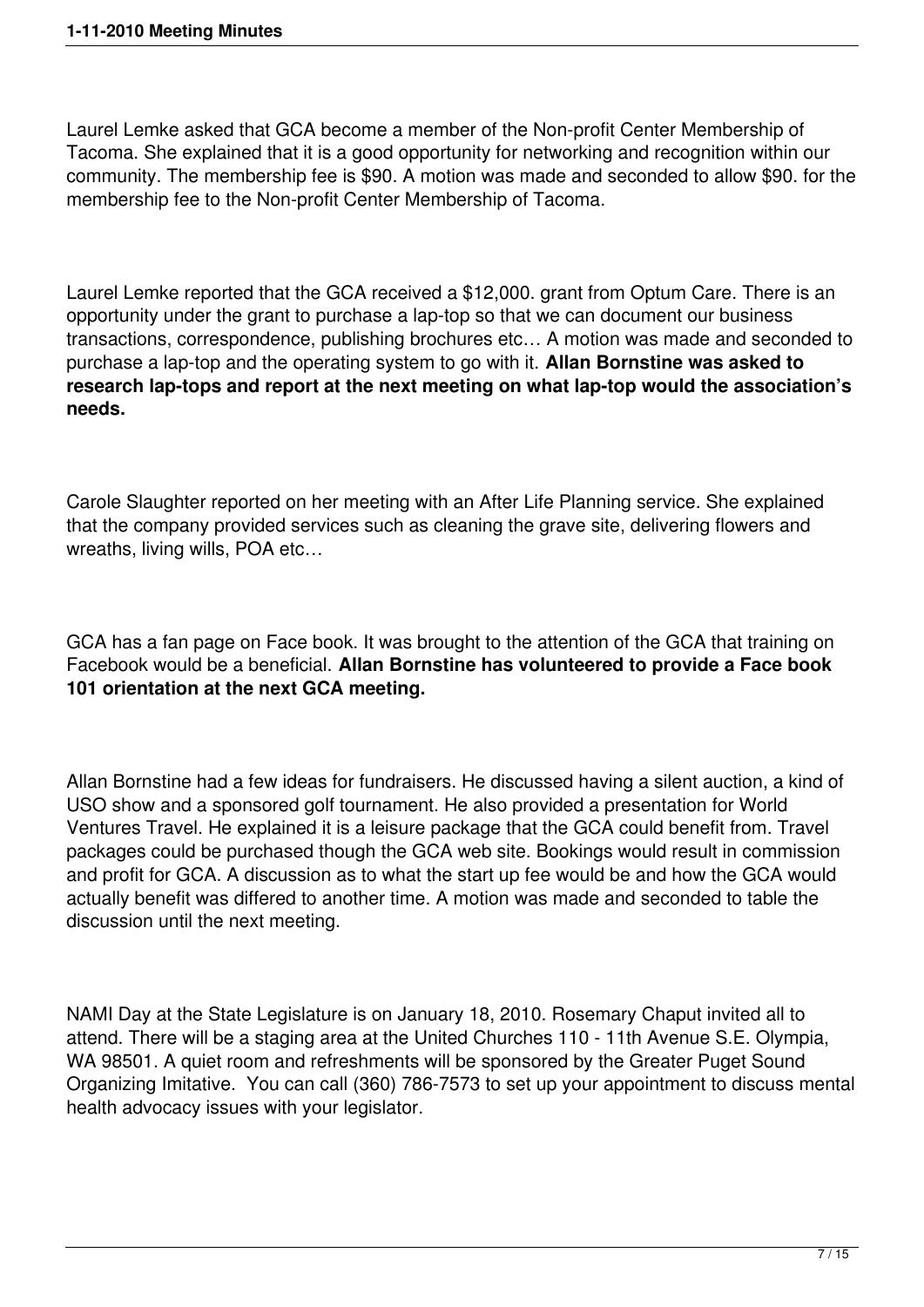Laurel Lemke asked that GCA become a member of the Non-profit Center Membership of Tacoma. She explained that it is a good opportunity for networking and recognition within our community. The membership fee is \$90. A motion was made and seconded to allow \$90. for the membership fee to the Non-profit Center Membership of Tacoma.

Laurel Lemke reported that the GCA received a \$12,000. grant from Optum Care. There is an opportunity under the grant to purchase a lap-top so that we can document our business transactions, correspondence, publishing brochures etc… A motion was made and seconded to purchase a lap-top and the operating system to go with it. **Allan Bornstine was asked to research lap-tops and report at the next meeting on what lap-top would the association's needs.** 

Carole Slaughter reported on her meeting with an After Life Planning service. She explained that the company provided services such as cleaning the grave site, delivering flowers and wreaths, living wills, POA etc…

GCA has a fan page on Face book. It was brought to the attention of the GCA that training on Facebook would be a beneficial. **Allan Bornstine has volunteered to provide a Face book 101 orientation at the next GCA meeting.** 

Allan Bornstine had a few ideas for fundraisers. He discussed having a silent auction, a kind of USO show and a sponsored golf tournament. He also provided a presentation for World Ventures Travel. He explained it is a leisure package that the GCA could benefit from. Travel packages could be purchased though the GCA web site. Bookings would result in commission and profit for GCA. A discussion as to what the start up fee would be and how the GCA would actually benefit was differed to another time. A motion was made and seconded to table the discussion until the next meeting.

NAMI Day at the State Legislature is on January 18, 2010. Rosemary Chaput invited all to attend. There will be a staging area at the United Churches 110 - 11th Avenue S.E. Olympia, WA 98501. A quiet room and refreshments will be sponsored by the Greater Puget Sound Organizing Imitative. You can call (360) 786-7573 to set up your appointment to discuss mental health advocacy issues with your legislator.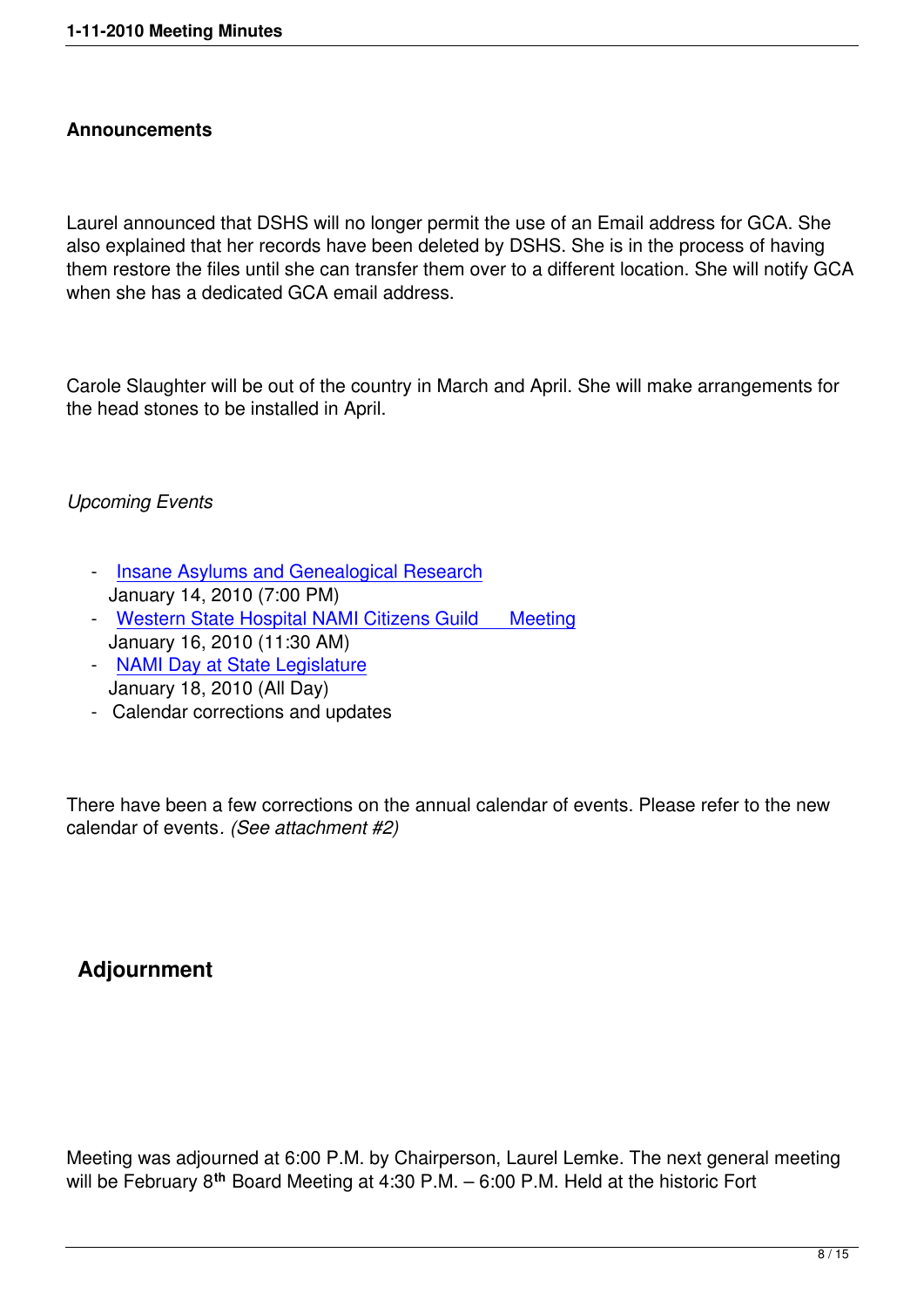Laurel announced that DSHS will no longer permit the use of an Email address for GCA. She also explained that her records have been deleted by DSHS. She is in the process of having them restore the files until she can transfer them over to a different location. She will notify GCA when she has a dedicated GCA email address.

Carole Slaughter will be out of the country in March and April. She will make arrangements for the head stones to be installed in April.

# *Upcoming Events*

- Insane Asylums and Genealogical Research January 14, 2010 (7:00 PM)
- Western State Hospital NAMI Citizens Guild Meeting [January 16, 2010 \(11:30 AM\)](http://www.wshgraveconcerns.org/component/jcalpro/view/20/12.html)
- NAMI Day at State Legislature [January 18, 2010 \(All Day\)](http://www.wshgraveconcerns.org/component/jcalpro/view/22/12.html)
- Calendar corrections and updates

There have been a few corrections on the annual calendar of events. Please refer to the new calendar of events*. (See attachment #2)*

# **Adjournment**

Meeting was adjourned at 6:00 P.M. by Chairperson, Laurel Lemke. The next general meeting will be February 8**th** Board Meeting at 4:30 P.M. – 6:00 P.M. Held at the historic Fort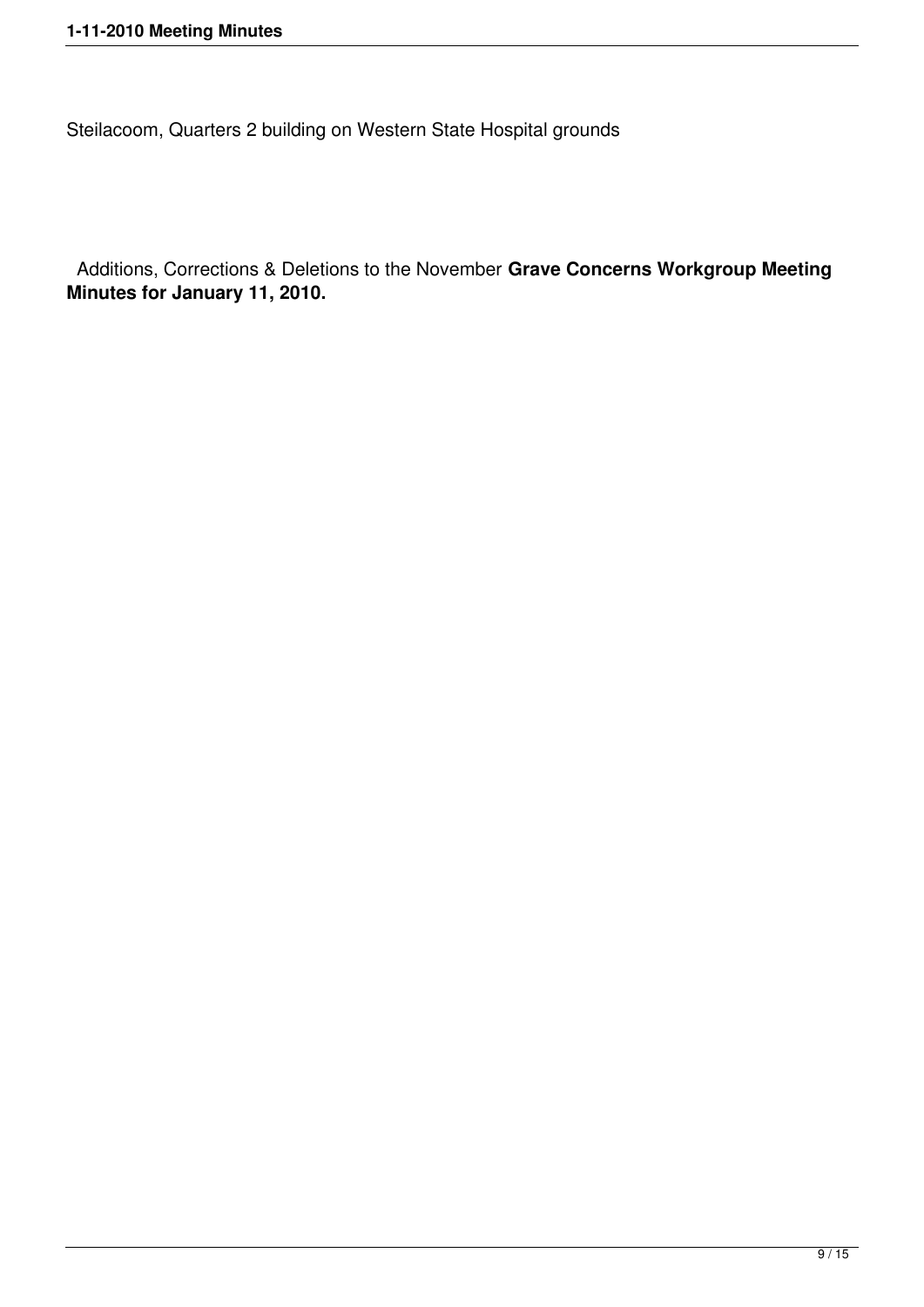Steilacoom, Quarters 2 building on Western State Hospital grounds

 Additions, Corrections & Deletions to the November **Grave Concerns Workgroup Meeting Minutes for January 11, 2010.**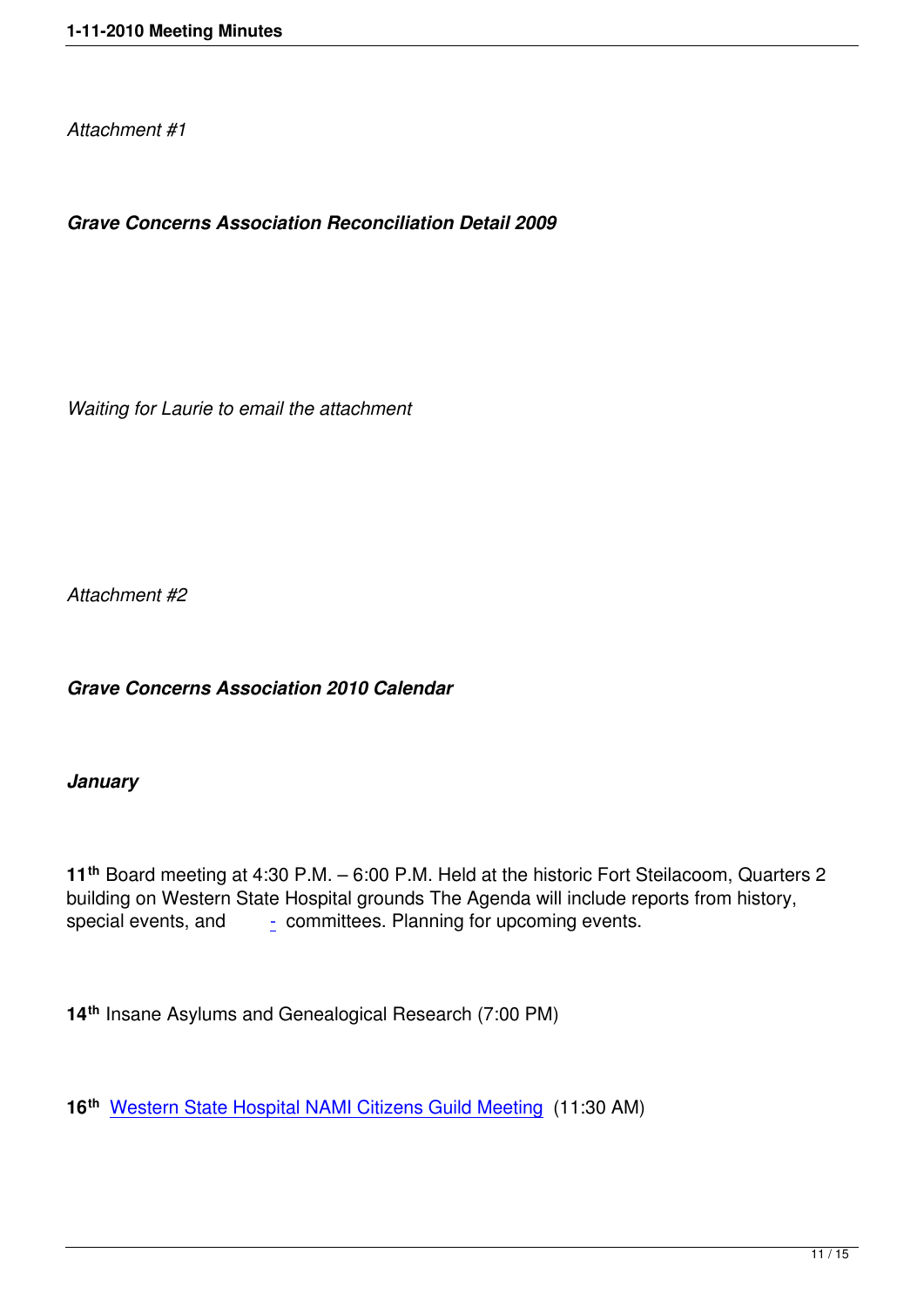# *Grave Concerns Association Reconciliation Detail 2009*

*Waiting for Laurie to email the attachment* 

*Attachment #2*

*Grave Concerns Association 2010 Calendar*

## *January*

**11th** Board meeting at 4:30 P.M. – 6:00 P.M. Held at the historic Fort Steilacoom, Quarters 2 building on Western State Hospital grounds The Agenda will include reports from history, special events, and  $\qquad \frac{1}{2}$  committees. Planning for upcoming events.

**14th** Insane Asylums an[d](http://www.wshgraveconcerns.org/component/jcalpro/view/17/12.html##) Genealogical Research (7:00 PM)

**16th** Western State Hospital NAMI Citizens Guild Meeting (11:30 AM)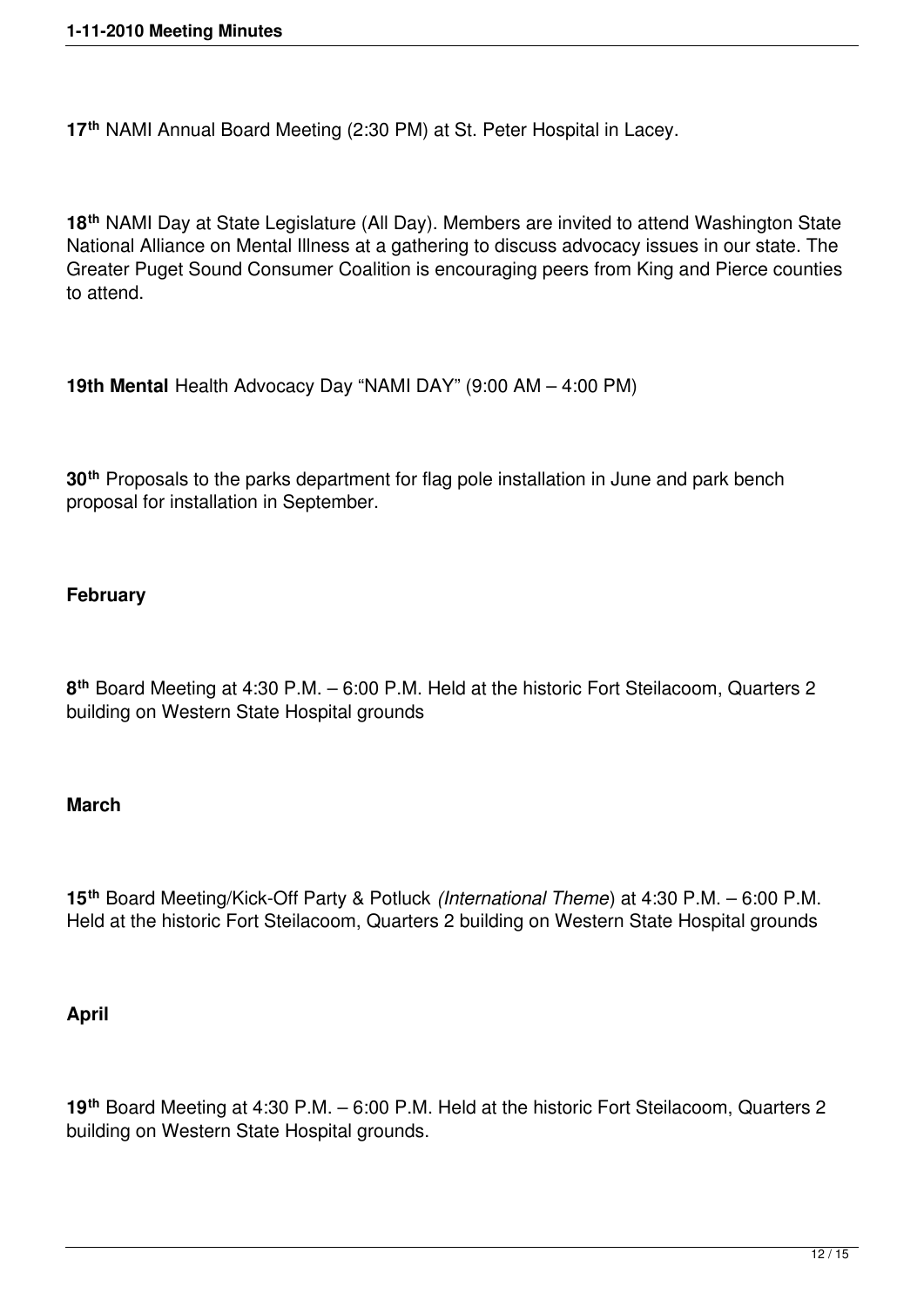**17th** NAMI Annual Board Meeting (2:30 PM) at St. Peter Hospital in Lacey.

**18th** NAMI Day at State Legislature (All Day). Members are invited to attend Washington State National Alliance on Mental Illness at a gathering to discuss advocacy issues in our state. The Greater Puget Sound Consumer Coalition is encouraging peers from King and Pierce counties to attend.

**19th Mental** Health Advocacy Day "NAMI DAY" (9:00 AM – 4:00 PM)

**30th** Proposals to the parks department for flag pole installation in June and park bench proposal for installation in September.

#### **February**

**8 th** Board Meeting at 4:30 P.M. – 6:00 P.M. Held at the historic Fort Steilacoom, Quarters 2 building on Western State Hospital grounds

#### **March**

**15th** Board Meeting/Kick-Off Party & Potluck *(International Theme*) at 4:30 P.M. – 6:00 P.M. Held at the historic Fort Steilacoom, Quarters 2 building on Western State Hospital grounds

#### **April**

**19th** Board Meeting at 4:30 P.M. – 6:00 P.M. Held at the historic Fort Steilacoom, Quarters 2 building on Western State Hospital grounds.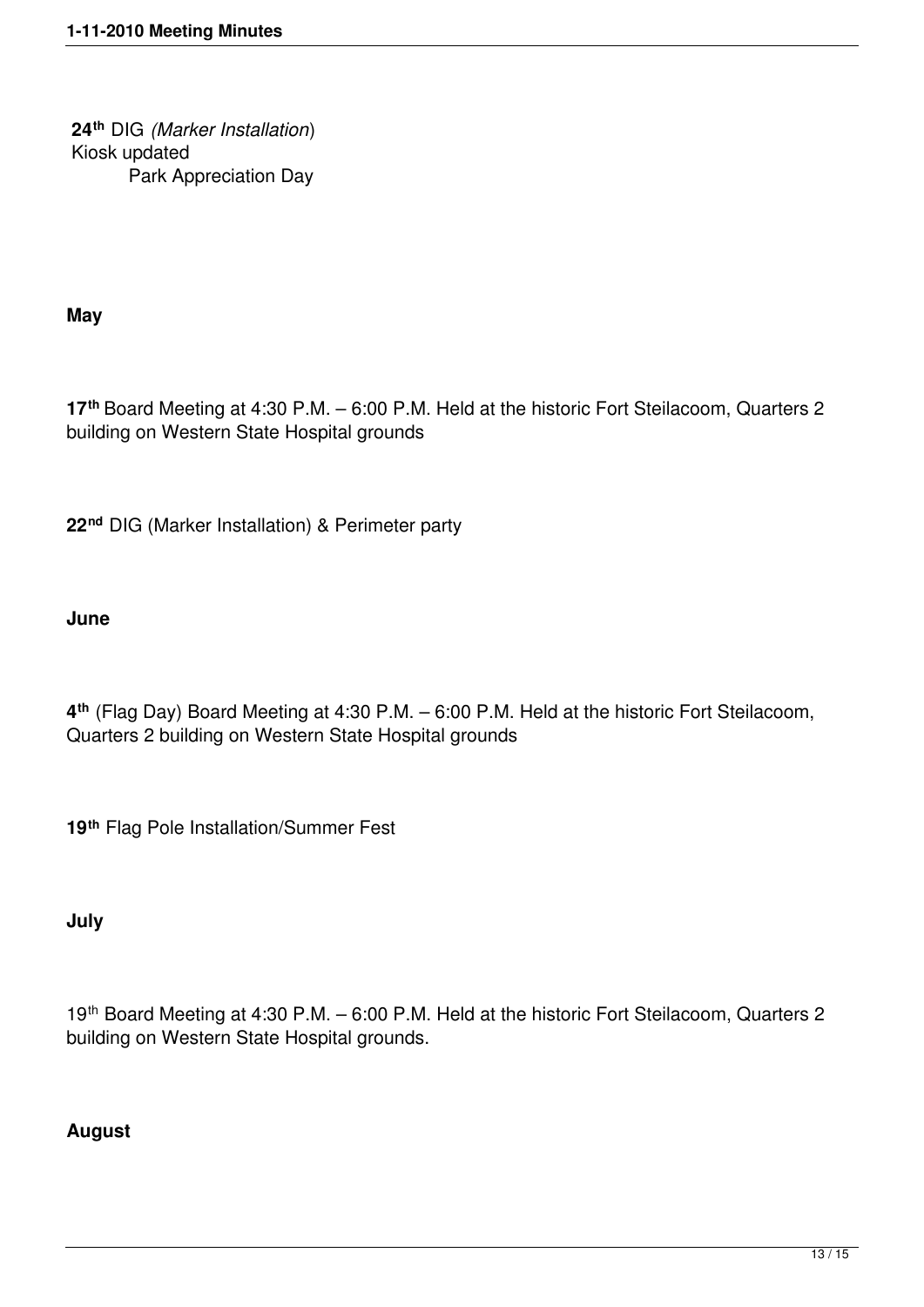**24th** DIG *(Marker Installation*) Kiosk updated Park Appreciation Day

**May**

**17th** Board Meeting at 4:30 P.M. – 6:00 P.M. Held at the historic Fort Steilacoom, Quarters 2 building on Western State Hospital grounds

**22nd** DIG (Marker Installation) & Perimeter party

# **June**

**4 th** (Flag Day) Board Meeting at 4:30 P.M. – 6:00 P.M. Held at the historic Fort Steilacoom, Quarters 2 building on Western State Hospital grounds

**19th** Flag Pole Installation/Summer Fest

# **July**

19th Board Meeting at 4:30 P.M. – 6:00 P.M. Held at the historic Fort Steilacoom, Quarters 2 building on Western State Hospital grounds.

# **August**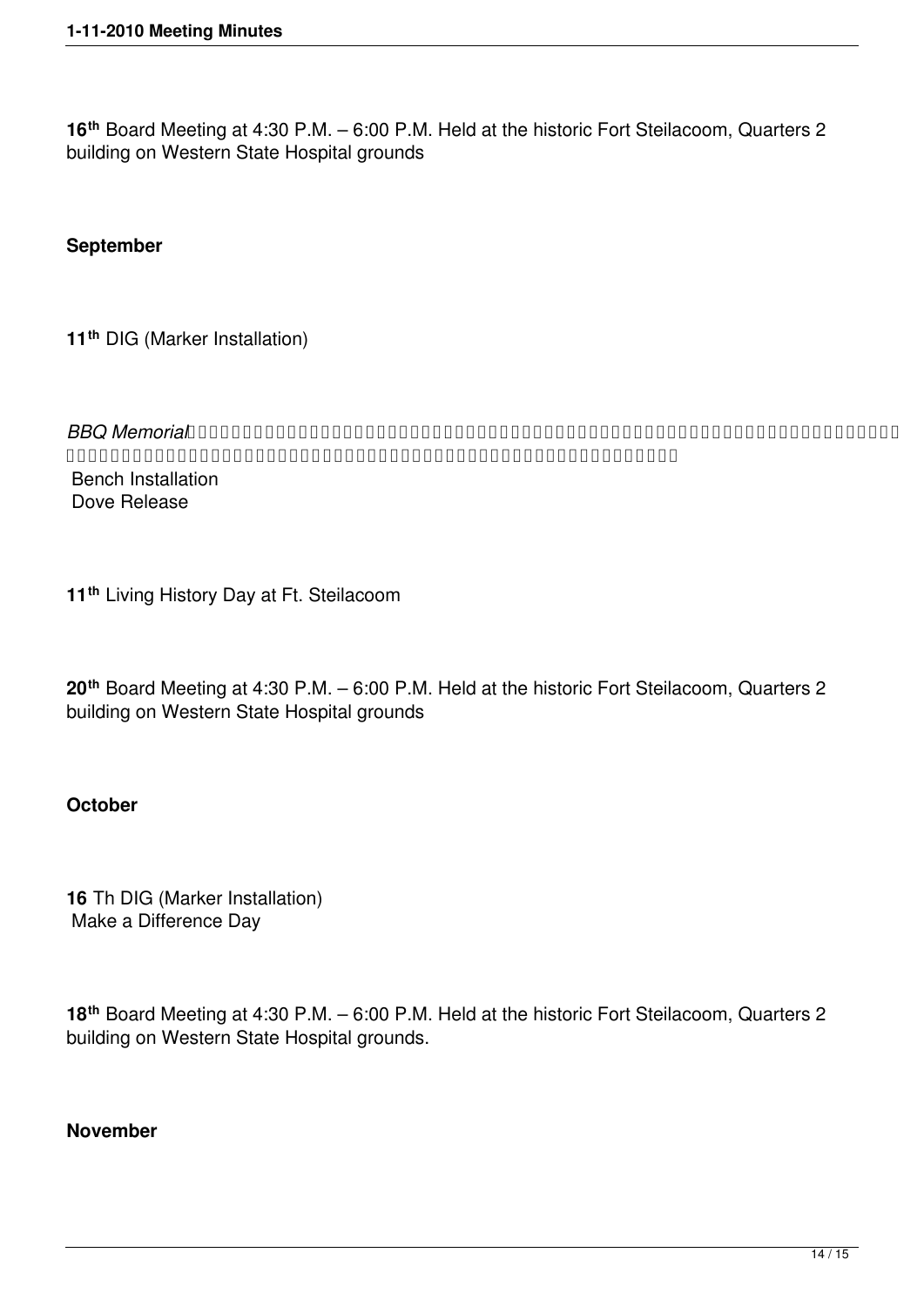**16th** Board Meeting at 4:30 P.M. – 6:00 P.M. Held at the historic Fort Steilacoom, Quarters 2 building on Western State Hospital grounds

#### **September**

**11th** DIG (Marker Installation)

*BBQ Memorial*   $\label{eq:conformal} \begin{array}{ll} \texttt{A}\ \texttt{A}\ \texttt{A}\ \texttt{A}\ \texttt{A}\ \texttt{A}\ \texttt{A}\ \texttt{A}\ \texttt{A}\ \texttt{A}\ \texttt{A}\ \texttt{A}\ \texttt{A}\ \texttt{A}\ \texttt{A}\ \texttt{A}\ \texttt{A}\ \texttt{A}\ \texttt{A}\ \texttt{A}\ \texttt{A}\ \texttt{A}\ \texttt{A}\ \texttt{A}\ \texttt{A}\ \texttt{A}\ \texttt{A}\ \texttt{A}\ \texttt{A}\ \texttt{A}\ \texttt{A}\ \texttt{A}\ \texttt{A}\ \texttt{A}\$ Bench Installation Dove Release

**11th** Living History Day at Ft. Steilacoom

**20th** Board Meeting at 4:30 P.M. – 6:00 P.M. Held at the historic Fort Steilacoom, Quarters 2 building on Western State Hospital grounds

#### **October**

**16** Th DIG (Marker Installation) Make a Difference Day

**18th** Board Meeting at 4:30 P.M. – 6:00 P.M. Held at the historic Fort Steilacoom, Quarters 2 building on Western State Hospital grounds.

#### **November**